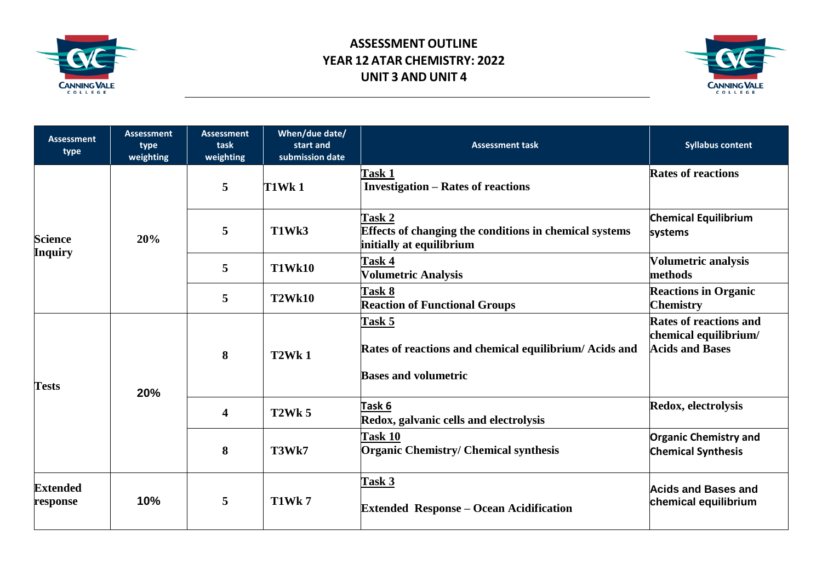

## **ASSESSMENT OUTLINE YEAR 12 ATAR CHEMISTRY: 2022 UNIT 3 AND UNIT 4**



| <b>Assessment</b><br>type        | <b>Assessment</b><br>type<br>weighting | <b>Assessment</b><br>task<br>weighting | When/due date/<br>start and<br>submission date | <b>Assessment task</b>                                                                              | <b>Syllabus content</b>                                                          |
|----------------------------------|----------------------------------------|----------------------------------------|------------------------------------------------|-----------------------------------------------------------------------------------------------------|----------------------------------------------------------------------------------|
| <b>Science</b><br><b>Inquiry</b> | 20%                                    | 5                                      | <b>T1Wk1</b>                                   | Task 1<br><b>Investigation – Rates of reactions</b>                                                 | <b>Rates of reactions</b>                                                        |
|                                  |                                        | 5                                      | T1Wk3                                          | Task 2<br><b>Effects of changing the conditions in chemical systems</b><br>initially at equilibrium | <b>Chemical Equilibrium</b><br>systems                                           |
|                                  |                                        | 5                                      | <b>T1Wk10</b>                                  | Task 4<br><b>Volumetric Analysis</b>                                                                | Volumetric analysis<br>methods                                                   |
|                                  |                                        | 5                                      | <b>T2Wk10</b>                                  | Task 8<br><b>Reaction of Functional Groups</b>                                                      | <b>Reactions in Organic</b><br><b>Chemistry</b>                                  |
| <b>Tests</b>                     | 20%                                    | 8                                      | T <sub>2</sub> Wk <sub>1</sub>                 | Task 5<br>Rates of reactions and chemical equilibrium/Acids and<br><b>Bases and volumetric</b>      | <b>Rates of reactions and</b><br>chemical equilibrium/<br><b>Acids and Bases</b> |
|                                  |                                        | $\overline{\mathbf{4}}$                | <b>T2Wk 5</b>                                  | Task 6<br>Redox, galvanic cells and electrolysis                                                    | Redox, electrolysis                                                              |
|                                  |                                        | 8                                      | T3Wk7                                          | <b>Task 10</b><br><b>Organic Chemistry/ Chemical synthesis</b>                                      | <b>Organic Chemistry and</b><br><b>Chemical Synthesis</b>                        |
| <b>Extended</b><br>response      | 10%                                    | 5                                      | <b>T1Wk7</b>                                   | Task 3<br><b>Extended Response – Ocean Acidification</b>                                            | <b>Acids and Bases and</b><br>chemical equilibrium                               |